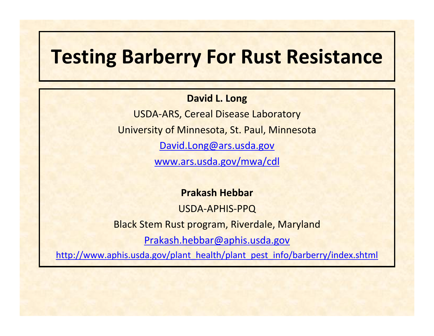# **Testing Barberry For Rust Resistance**

#### **David L. Long**

USDA‐ARS, Cereal Disease Laboratory University of Minnesota, St. Paul, Minnesota [David.Long@ars.usda.gov](mailto:David.Long@ars.usda.gov)

[www.ars.usda.gov/mwa/cdl](http://www.ars.usda.gov/mwa/cdl)

**Prakash Hebbar**

USDA‐APHIS‐PPQ Black Stem Rust program, Riverdale, Maryland [Prakash.hebbar@aphis.usda.gov](mailto:Prakash.hebbar@aphis.usda.gov) [http://www.aphis.usda.gov/plant\\_health/plant\\_pest\\_info/barberry/index.shtml](http://www.aphis.usda.gov/plant_health/plant_pest_info/barberry/index.shtml)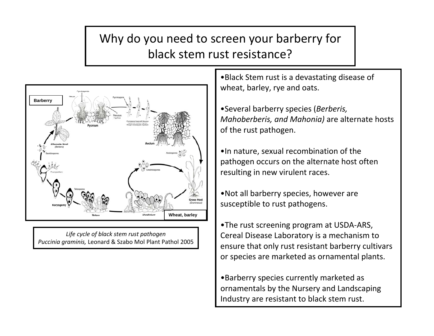#### Why do you need to screen your barberry for black stem rust resistance?



*Life cycle of black stem rust pathogen Puccinia graminis,* Leonard & Szabo Mol Plant Pathol 2005

•Black Stem rust is <sup>a</sup> devastating disease of wheat, barley, rye and oats.

•Several barberry species (*Berberis, Mahoberberis, and Mahonia)* are alternate hosts of the rust pathogen.

•In nature, sexual recombination of the pathogen occurs on the alternate host often resulting in new virulent races.

•Not all barberry species, however are susceptible to rust pathogens.

•The rust screening program at USDA‐ARS, Cereal Disease Laboratory is <sup>a</sup> mechanism to ensure that only rust resistant barberry cultivars or species are marketed as ornamental plants.

•Barberry species currently marketed as ornamentals by the Nursery and Landscaping Industry are resistant to black stem rust.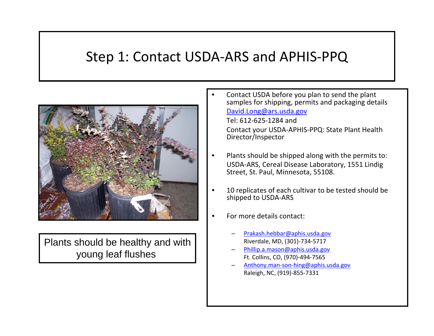### Step 1: Contact USDA‐ARS and APHIS‐PPQ



Plants should be healthy and with young leaf flushes

• Contact USDA before you plan to send the plant samples for shipping, permits and packaging details [David.Long@ars.usda.gov](mailto:David.Long@ars.usda.gov)

Tel: 612‐625‐1284 andContact your USDA‐APHIS‐PPQ: State Plant Health Director/Inspector

- Plants should be shipped along with the permits to: USDA‐ARS, Cereal Disease Laboratory, 1551 Lindig Street, St. Paul, Minnesota, 55108.
- 10 replicates of each cultivar to be tested should be shipped to USDA‐ARS
- For more details contact:
	- [Prakash.hebbar@aphis.usda.gov](mailto:Prakash.hebbar@aphis.usda.gov) Riverdale, MD, (301)‐734‐5717
	- [Phillip.a.mason@aphis.usda.gov](mailto:Phillip.a.mason@aphis.usda.gov) Ft. Collins, CO, (970)‐494‐7565
	- Anthony.man‐son‐[hing@aphis.usda.gov](mailto:Anthony.man-son-hing@aphis.usda.gov) Raleigh, NC, (919)‐855‐7331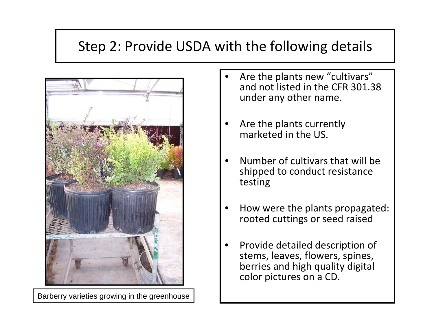# Step 2: Provide USDA with the following details



Barberry varieties growing in the greenhouse

- Are the plants new "cultivars" and not listed in the CFR 301.38 under any other name.
- Are the plants currently marketed in the US.
- Number of cultivars that will beshipped to conduct resistance testing
- How were the plants propagated: rooted cuttings or seed raised
- Provide detailed description of stems, leaves, flowers, spines, berries and high quality digital color pictures on <sup>a</sup> CD.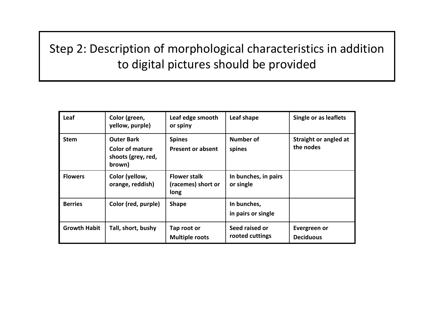#### Step 2: Description of morphological characteristics in addition to digital pictures should be provided

| Leaf                | Color (green,<br>yellow, purple)                                            | Leaf edge smooth<br>or spiny                      | Leaf shape                        | Single or as leaflets              |
|---------------------|-----------------------------------------------------------------------------|---------------------------------------------------|-----------------------------------|------------------------------------|
| <b>Stem</b>         | <b>Outer Bark</b><br><b>Color of mature</b><br>shoots (grey, red,<br>brown) | <b>Spines</b><br><b>Present or absent</b>         | Number of<br>spines               | Straight or angled at<br>the nodes |
| <b>Flowers</b>      | Color (yellow,<br>orange, reddish)                                          | <b>Flower stalk</b><br>(racemes) short or<br>long | In bunches, in pairs<br>or single |                                    |
| <b>Berries</b>      | Color (red, purple)                                                         | <b>Shape</b>                                      | In bunches,<br>in pairs or single |                                    |
| <b>Growth Habit</b> | Tall, short, bushy                                                          | Tap root or<br><b>Multiple roots</b>              | Seed raised or<br>rooted cuttings | Evergreen or<br><b>Deciduous</b>   |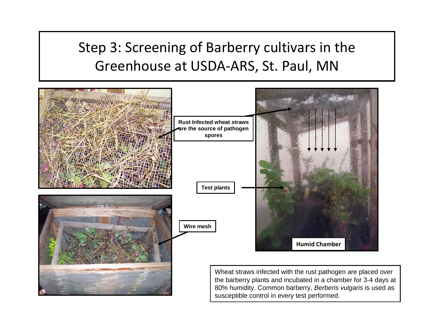# Step 3: Screening of Barberry cultivars in the Greenhouse at USDA‐ARS, St. Paul, MN

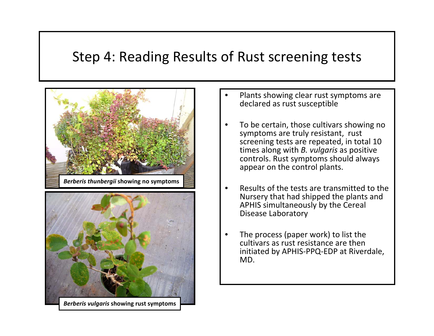## Step 4: Reading Results of Rust screening tests





- Plants showing clear rust symptoms are declared as rust susceptible
- To be certain, those cultivars showing no symptoms are truly resistant, rust screening tests are repeated, in total 10 times along with *B. vulgaris* as positive controls. Rust symptoms should always appear on the control plants.
- Results of the tests are transmitted to the Nursery that had shipped the plants and APHIS simultaneously by the Cereal Disease Laboratory
- The process (paper work) to list the cultivars as rust resistance are theninitiated by APHIS‐PPQ‐EDP at Riverdale, MD.